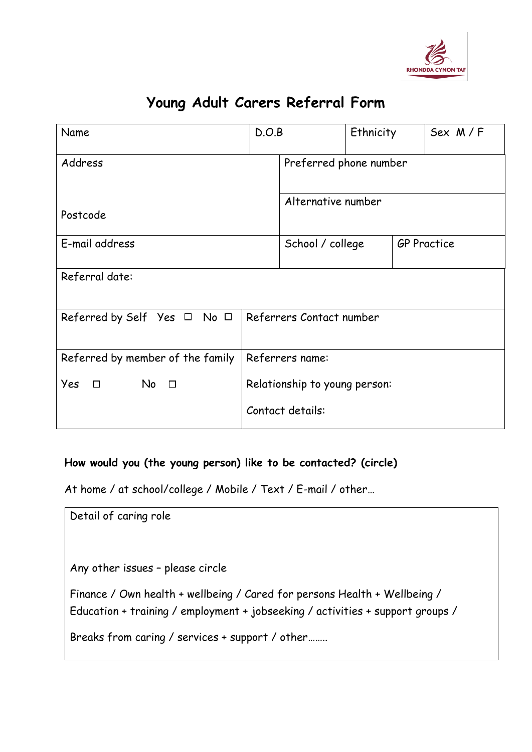

## **Young Adult Carers Referral Form**

| Name                                  | D.O.B                         |                        | Ethnicity |                    | Sex M/F |
|---------------------------------------|-------------------------------|------------------------|-----------|--------------------|---------|
| Address                               |                               | Preferred phone number |           |                    |         |
| Postcode                              |                               | Alternative number     |           |                    |         |
| E-mail address                        |                               | School / college       |           | <b>GP Practice</b> |         |
| Referral date:                        |                               |                        |           |                    |         |
| Referred by Self Yes $\Box$ No $\Box$ | Referrers Contact number      |                        |           |                    |         |
| Referred by member of the family      |                               | Referrers name:        |           |                    |         |
| Yes<br>$No$ $\Box$<br>$\Box$          | Relationship to young person: |                        |           |                    |         |
|                                       | Contact details:              |                        |           |                    |         |

## **How would you (the young person) like to be contacted? (circle)**

At home / at school/college / Mobile / Text / E-mail / other…

| Detail of caring role                                                                                                                                       |
|-------------------------------------------------------------------------------------------------------------------------------------------------------------|
| Any other issues - please circle                                                                                                                            |
| Finance / Own health + wellbeing / Cared for persons Health + Wellbeing /<br>Education + training / employment + jobseeking / activities + support groups / |
| Breaks from caring / services + support / other                                                                                                             |